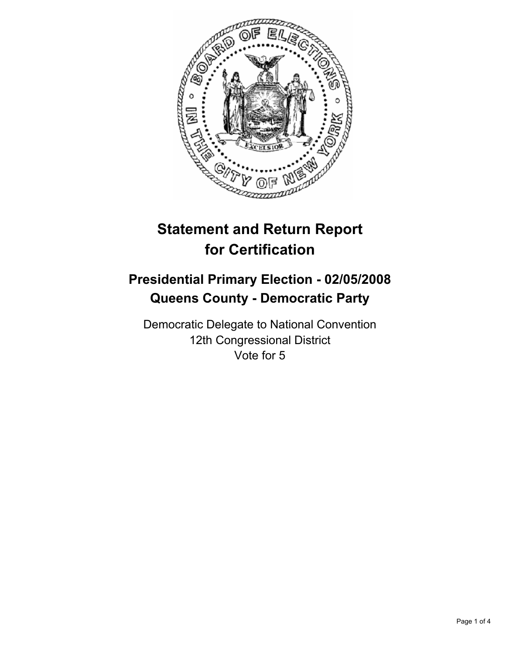

# **Statement and Return Report for Certification**

## **Presidential Primary Election - 02/05/2008 Queens County - Democratic Party**

Democratic Delegate to National Convention 12th Congressional District Vote for 5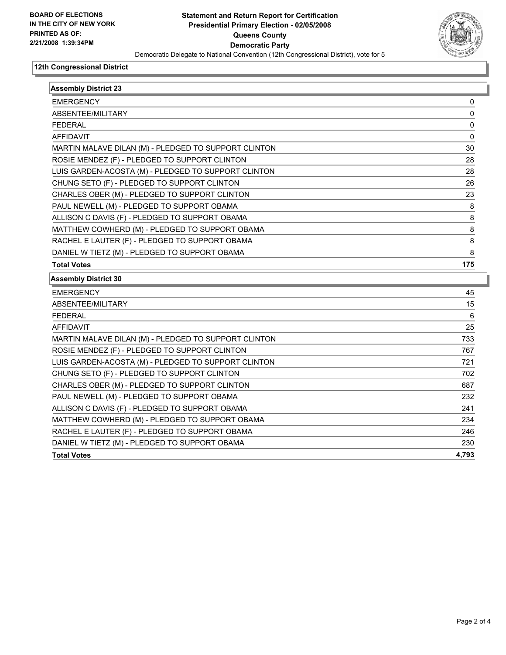

#### **12th Congressional District**

| <b>Assembly District 23</b>                          |       |
|------------------------------------------------------|-------|
| <b>EMERGENCY</b>                                     | 0     |
| ABSENTEE/MILITARY                                    | 0     |
| <b>FEDERAL</b>                                       | 0     |
| <b>AFFIDAVIT</b>                                     | 0     |
| MARTIN MALAVE DILAN (M) - PLEDGED TO SUPPORT CLINTON | 30    |
| ROSIE MENDEZ (F) - PLEDGED TO SUPPORT CLINTON        | 28    |
| LUIS GARDEN-ACOSTA (M) - PLEDGED TO SUPPORT CLINTON  | 28    |
| CHUNG SETO (F) - PLEDGED TO SUPPORT CLINTON          | 26    |
| CHARLES OBER (M) - PLEDGED TO SUPPORT CLINTON        | 23    |
| PAUL NEWELL (M) - PLEDGED TO SUPPORT OBAMA           | 8     |
| ALLISON C DAVIS (F) - PLEDGED TO SUPPORT OBAMA       | 8     |
| MATTHEW COWHERD (M) - PLEDGED TO SUPPORT OBAMA       | 8     |
| RACHEL E LAUTER (F) - PLEDGED TO SUPPORT OBAMA       | 8     |
| DANIEL W TIETZ (M) - PLEDGED TO SUPPORT OBAMA        | 8     |
| <b>Total Votes</b>                                   | 175   |
| <b>Assembly District 30</b>                          |       |
| <b>EMERGENCY</b>                                     | 45    |
| ABSENTEE/MILITARY                                    | 15    |
| <b>FEDERAL</b>                                       | 6     |
| <b>AFFIDAVIT</b>                                     | 25    |
| MARTIN MALAVE DILAN (M) - PLEDGED TO SUPPORT CLINTON | 733   |
| ROSIE MENDEZ (F) - PLEDGED TO SUPPORT CLINTON        | 767   |
| LUIS GARDEN-ACOSTA (M) - PLEDGED TO SUPPORT CLINTON  | 721   |
| CHUNG SETO (F) - PLEDGED TO SUPPORT CLINTON          | 702   |
| CHARLES OBER (M) - PLEDGED TO SUPPORT CLINTON        | 687   |
| PAUL NEWELL (M) - PLEDGED TO SUPPORT OBAMA           | 232   |
| ALLISON C DAVIS (F) - PLEDGED TO SUPPORT OBAMA       | 241   |
| MATTHEW COWHERD (M) - PLEDGED TO SUPPORT OBAMA       | 234   |
| RACHEL E LAUTER (F) - PLEDGED TO SUPPORT OBAMA       | 246   |
| DANIEL W TIETZ (M) - PLEDGED TO SUPPORT OBAMA        | 230   |
| <b>Total Votes</b>                                   | 4.793 |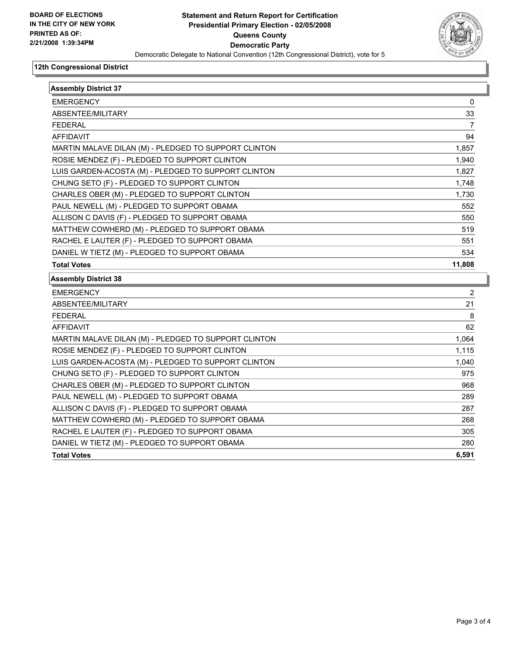

#### **12th Congressional District**

| <b>Assembly District 37</b>                          |                |
|------------------------------------------------------|----------------|
| <b>EMERGENCY</b>                                     | 0              |
| ABSENTEE/MILITARY                                    | 33             |
| <b>FEDERAL</b>                                       | $\overline{7}$ |
| <b>AFFIDAVIT</b>                                     | 94             |
| MARTIN MALAVE DILAN (M) - PLEDGED TO SUPPORT CLINTON | 1,857          |
| ROSIE MENDEZ (F) - PLEDGED TO SUPPORT CLINTON        | 1,940          |
| LUIS GARDEN-ACOSTA (M) - PLEDGED TO SUPPORT CLINTON  | 1,827          |
| CHUNG SETO (F) - PLEDGED TO SUPPORT CLINTON          | 1,748          |
| CHARLES OBER (M) - PLEDGED TO SUPPORT CLINTON        | 1,730          |
| PAUL NEWELL (M) - PLEDGED TO SUPPORT OBAMA           | 552            |
| ALLISON C DAVIS (F) - PLEDGED TO SUPPORT OBAMA       | 550            |
| MATTHEW COWHERD (M) - PLEDGED TO SUPPORT OBAMA       | 519            |
| RACHEL E LAUTER (F) - PLEDGED TO SUPPORT OBAMA       | 551            |
| DANIEL W TIETZ (M) - PLEDGED TO SUPPORT OBAMA        | 534            |
| <b>Total Votes</b>                                   | 11,808         |
| <b>Assembly District 38</b>                          |                |
| <b>EMERGENCY</b>                                     | 2              |
| ABSENTEE/MILITARY                                    | 21             |
| <b>FEDERAL</b>                                       | 8              |
| <b>AFFIDAVIT</b>                                     | 62             |
| MARTIN MALAVE DILAN (M) - PLEDGED TO SUPPORT CLINTON | 1,064          |
| ROSIE MENDEZ (F) - PLEDGED TO SUPPORT CLINTON        | 1,115          |
| LUIS GARDEN-ACOSTA (M) - PLEDGED TO SUPPORT CLINTON  | 1,040          |
| CHUNG SETO (F) - PLEDGED TO SUPPORT CLINTON          | 975            |
| CHARLES OBER (M) - PLEDGED TO SUPPORT CLINTON        | 968            |
| PAUL NEWELL (M) - PLEDGED TO SUPPORT OBAMA           | 289            |
| ALLISON C DAVIS (F) - PLEDGED TO SUPPORT OBAMA       | 287            |
| MATTHEW COWHERD (M) - PLEDGED TO SUPPORT OBAMA       | 268            |
| RACHEL E LAUTER (F) - PLEDGED TO SUPPORT OBAMA       | 305            |
| DANIEL W TIETZ (M) - PLEDGED TO SUPPORT OBAMA        | 280            |
|                                                      |                |
| <b>Total Votes</b>                                   | 6,591          |